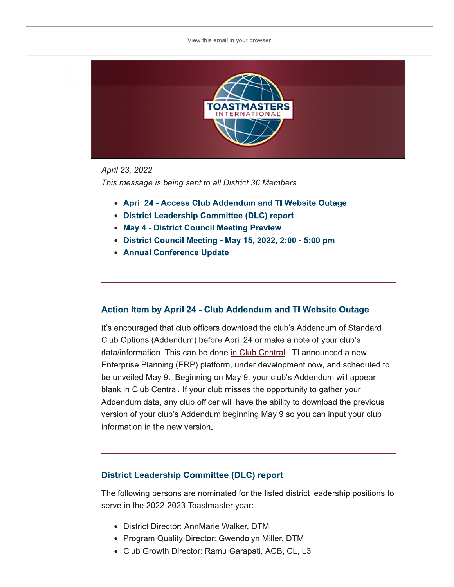

### April 23, 2022 This message is being sent to all District 36 Members

- April 24 Access Club Addendum and TI Website Outage
- District Leadership Committee (DLC) report
- May 4 District Council Meeting Preview
- District Council Meeting May 15, 2022, 2:00 5:00 pm
- Annual Conference Update

## Action Item by April 24 - Club Addendum and TI Website Outage

It's encouraged that club officers download the club's Addendum of Standard Club Options (Addendum) before April 24 or make a note of your club's data/information. This can be done in Club Central. TI announced a new Enterprise Planning (ERP) platform, under development now, and scheduled to be unveiled May 9. Beginning on May 9, your club's Addendum will appear blank in Club Central. If your club misses the opportunity to gather your Addendum data, any club officer will have the ability to download the previous version of your club's Addendum beginning May 9 so you can input your club information in the new version.

## **District Leadership Committee (DLC) report**

The following persons are nominated for the listed district leadership positions to serve in the 2022-2023 Toastmaster year:

- District Director: AnnMarie Walker, DTM
- Program Quality Director: Gwendolyn Miller, DTM
- Club Growth Director: Ramu Garapati, ACB, CL, L3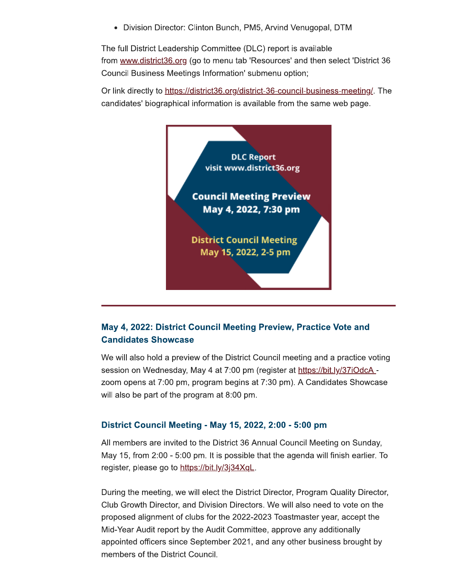• Division Director: Clinton Bunch, PM5, Arvind Venugopal, DTM

The full District Leadership Committee (DLC) report is available from www.district36.org (go to menu tab 'Resources' and then select 'District 36 Council Business Meetings Information' submenu option;

Or link directly to https://district36.org/district-36-council-business-meeting/. The candidates' biographical information is available from the same web page.



## May 4, 2022: District Council Meeting Preview, Practice Vote and **Candidates Showcase**

We will also hold a preview of the District Council meeting and a practice voting session on Wednesday, May 4 at 7:00 pm (register at https://bit.ly/37iOdcA zoom opens at 7:00 pm, program begins at 7:30 pm). A Candidates Showcase will also be part of the program at 8:00 pm.

## District Council Meeting - May 15, 2022, 2:00 - 5:00 pm

All members are invited to the District 36 Annual Council Meeting on Sunday, May 15, from 2:00 - 5:00 pm. It is possible that the agenda will finish earlier. To register, please go to https://bit.ly/3j34XqL.

During the meeting, we will elect the District Director, Program Quality Director, Club Growth Director, and Division Directors. We will also need to vote on the proposed alignment of clubs for the 2022-2023 Toastmaster year, accept the Mid-Year Audit report by the Audit Committee, approve any additionally appointed officers since September 2021, and any other business brought by members of the District Council.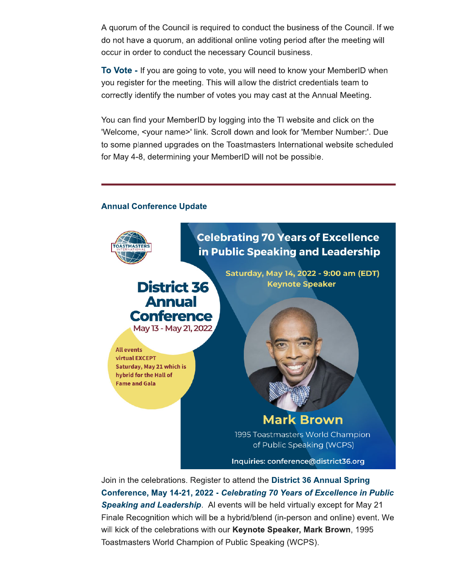A quorum of the Council is required to conduct the business of the Council. If we do not have a quorum, an additional online voting period after the meeting will occur in order to conduct the necessary Council business.

To Vote - If you are going to vote, you will need to know your MemberID when you register for the meeting. This will allow the district credentials team to correctly identify the number of votes you may cast at the Annual Meeting.

You can find your MemberID by logging into the TI website and click on the 'Welcome, <your name>' link. Scroll down and look for 'Member Number:'. Due to some planned upgrades on the Toastmasters International website scheduled for May 4-8, determining your MemberID will not be possible.

#### **Annual Conference Update**



Join in the celebrations. Register to attend the District 36 Annual Spring Conference, May 14-21, 2022 - Celebrating 70 Years of Excellence in Public Speaking and Leadership. Al events will be held virtually except for May 21 Finale Recognition which will be a hybrid/blend (in-person and online) event. We will kick of the celebrations with our Keynote Speaker, Mark Brown, 1995 Toastmasters World Champion of Public Speaking (WCPS).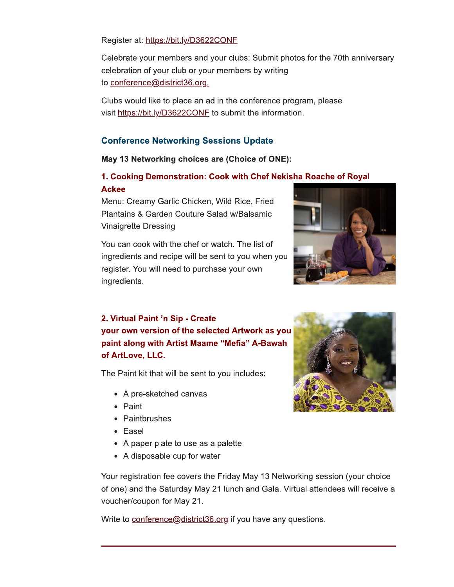Register at: https://bit.ly/D3622CONF

Celebrate your members and your clubs: Submit photos for the 70th anniversary celebration of your club or your members by writing to conference@district36.org.

Clubs would like to place an ad in the conference program, please visit https://bit.ly/D3622CONF to submit the information.

## **Conference Networking Sessions Update**

## May 13 Networking choices are (Choice of ONE):

## 1. Cooking Demonstration: Cook with Chef Nekisha Roache of Royal **Ackee**

Menu: Creamy Garlic Chicken, Wild Rice, Fried Plantains & Garden Couture Salad w/Balsamic **Vinaigrette Dressing** 

You can cook with the chef or watch. The list of ingredients and recipe will be sent to you when you register. You will need to purchase your own ingredients.



# 2. Virtual Paint 'n Sip - Create your own version of the selected Artwork as you paint along with Artist Maame "Mefia" A-Bawah of ArtLove, LLC.

The Paint kit that will be sent to you includes:

- A pre-sketched canvas
- Paint
- Paintbrushes
- Easel
- A paper plate to use as a palette
- A disposable cup for water

Your registration fee covers the Friday May 13 Networking session (your choice of one) and the Saturday May 21 lunch and Gala. Virtual attendees will receive a voucher/coupon for May 21.

Write to conference@district36.org if you have any questions.